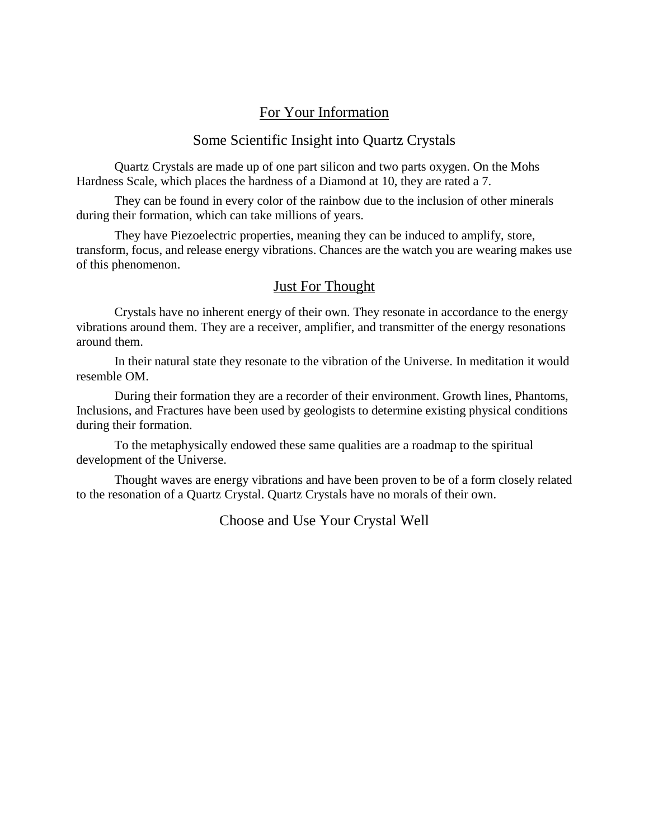## For Your Information

## Some Scientific Insight into Quartz Crystals

Quartz Crystals are made up of one part silicon and two parts oxygen. On the Mohs Hardness Scale, which places the hardness of a Diamond at 10, they are rated a 7.

They can be found in every color of the rainbow due to the inclusion of other minerals during their formation, which can take millions of years.

They have Piezoelectric properties, meaning they can be induced to amplify, store, transform, focus, and release energy vibrations. Chances are the watch you are wearing makes use of this phenomenon.

## Just For Thought

Crystals have no inherent energy of their own. They resonate in accordance to the energy vibrations around them. They are a receiver, amplifier, and transmitter of the energy resonations around them.

In their natural state they resonate to the vibration of the Universe. In meditation it would resemble OM.

During their formation they are a recorder of their environment. Growth lines, Phantoms, Inclusions, and Fractures have been used by geologists to determine existing physical conditions during their formation.

To the metaphysically endowed these same qualities are a roadmap to the spiritual development of the Universe.

Thought waves are energy vibrations and have been proven to be of a form closely related to the resonation of a Quartz Crystal. Quartz Crystals have no morals of their own.

Choose and Use Your Crystal Well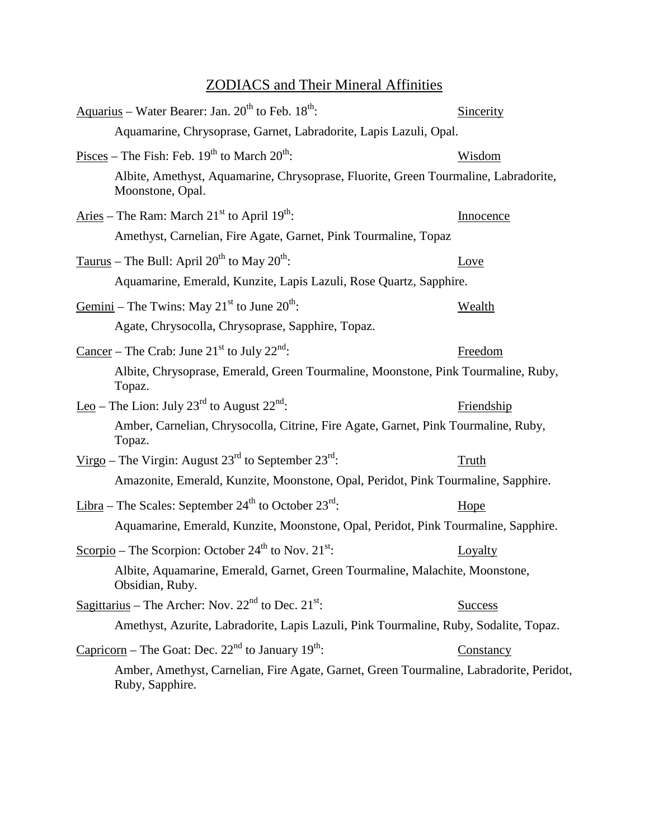## ZODIACS and Their Mineral Affinities

| Aquarius - Water Bearer: Jan. $20^{th}$ to Feb. $18^{th}$ :                                                | Sincerity      |
|------------------------------------------------------------------------------------------------------------|----------------|
| Aquamarine, Chrysoprase, Garnet, Labradorite, Lapis Lazuli, Opal.                                          |                |
| $Pisces$ – The Fish: Feb. 19 <sup>th</sup> to March 20 <sup>th</sup> :                                     | <u>Wisdom</u>  |
| Albite, Amethyst, Aquamarine, Chrysoprase, Fluorite, Green Tourmaline, Labradorite,<br>Moonstone, Opal.    |                |
| Aries – The Ram: March $21st$ to April $19th$ :                                                            | Innocence      |
| Amethyst, Carnelian, Fire Agate, Garnet, Pink Tourmaline, Topaz                                            |                |
| Taurus – The Bull: April 20 <sup>th</sup> to May 20 <sup>th</sup> :                                        | Love           |
| Aquamarine, Emerald, Kunzite, Lapis Lazuli, Rose Quartz, Sapphire.                                         |                |
| Gemini – The Twins: May 21 <sup>st</sup> to June 20 <sup>th</sup> :                                        | <u>Wealth</u>  |
| Agate, Chrysocolla, Chrysoprase, Sapphire, Topaz.                                                          |                |
| <u>Cancer</u> – The Crab: June 21 <sup>st</sup> to July 22 <sup>nd</sup> :                                 | Freedom        |
| Albite, Chrysoprase, Emerald, Green Tourmaline, Moonstone, Pink Tourmaline, Ruby,<br>Topaz.                |                |
| <u>Leo</u> – The Lion: July 23 <sup>rd</sup> to August 22 <sup>nd</sup> :                                  | Friendship     |
| Amber, Carnelian, Chrysocolla, Citrine, Fire Agate, Garnet, Pink Tourmaline, Ruby,<br>Topaz.               |                |
| <u>Virgo</u> – The Virgin: August $23^{rd}$ to September $23^{rd}$ .                                       | Truth          |
| Amazonite, Emerald, Kunzite, Moonstone, Opal, Peridot, Pink Tourmaline, Sapphire.                          |                |
| <u>Libra</u> – The Scales: September $24th$ to October $23rd$ .                                            | Hope           |
| Aquamarine, Emerald, Kunzite, Moonstone, Opal, Peridot, Pink Tourmaline, Sapphire.                         |                |
| Scorpio – The Scorpion: October $24th$ to Nov. $21st$ :                                                    | Loyalty        |
| Albite, Aquamarine, Emerald, Garnet, Green Tourmaline, Malachite, Moonstone,<br>Obsidian, Ruby.            |                |
| Sagittarius – The Archer: Nov. $22nd$ to Dec. $21st$ :                                                     | <b>Success</b> |
| Amethyst, Azurite, Labradorite, Lapis Lazuli, Pink Tourmaline, Ruby, Sodalite, Topaz.                      |                |
| <u>Capricorn</u> – The Goat: Dec. $22nd$ to January 19 <sup>th</sup> :                                     | Constancy      |
| Amber, Amethyst, Carnelian, Fire Agate, Garnet, Green Tourmaline, Labradorite, Peridot,<br>Ruby, Sapphire. |                |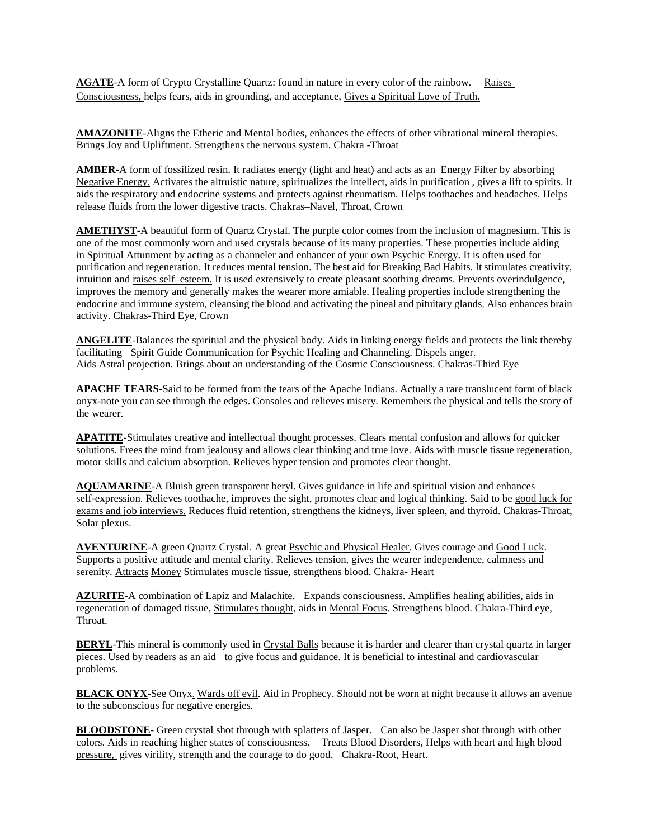**AGATE**-A form of Crypto Crystalline Quartz: found in nature in every color of the rainbow. Raises Consciousness, helps fears, aids in grounding, and acceptance, Gives a Spiritual Love of Truth.

**AMAZONITE**-Aligns the Etheric and Mental bodies, enhances the effects of other vibrational mineral therapies. Brings Joy and Upliftment. Strengthens the nervous system. Chakra -Throat

**AMBER**-A form of fossilized resin. It radiates energy (light and heat) and acts as an **Energy Filter by absorbing** Negative Energy. Activates the altruistic nature, spiritualizes the intellect, aids in purification , gives a lift to spirits. It aids the respiratory and endocrine systems and protects against rheumatism. Helps toothaches and headaches. Helps release fluids from the lower digestive tracts. Chakras–Navel, Throat, Crown

**AMETHYST**-A beautiful form of Quartz Crystal. The purple color comes from the inclusion of magnesium. This is one of the most commonly worn and used crystals because of its many properties. These properties include aiding in Spiritual Attunment by acting as a channeler and enhancer of your own Psychic Energy. It is often used for purification and regeneration. It reduces mental tension. The best aid for Breaking Bad Habits. It stimulates creativity, intuition and raises self–esteem. It is used extensively to create pleasant soothing dreams. Prevents overindulgence, improves the memory and generally makes the wearer more amiable. Healing properties include strengthening the endocrine and immune system, cleansing the blood and activating the pineal and pituitary glands. Also enhances brain activity. Chakras-Third Eye, Crown

**ANGELITE** -Balances the spiritual and the physical body. Aids in linking energy fields and protects the link thereby Aids Astral projection. Brings about an understanding of the Cosmic Consciousness. Chakras-Third Eye facilitating Spirit Guide Communication for Psychic Healing and Channeling. Dispels anger.

**APACHE TEARS**-Said to be formed from the tears of the Apache Indians. Actually a rare translucent form of black onyx-note you can see through the edges. Consoles and relieves misery. Remembers the physical and tells the story of the wearer.

**APATITE**-Stimulates creative and intellectual thought processes. Clears mental confusion and allows for quicker solutions. Frees the mind from jealousy and allows clear thinking and true love. Aids with muscle tissue regeneration, motor skills and calcium absorption. Relieves hyper tension and promotes clear thought.

**AQUAMARINE**-A Bluish green transparent beryl. Gives guidance in life and spiritual vision and enhances self-expression. Relieves toothache, improves the sight, promotes clear and logical thinking. Said to be good luck for exams and job interviews. Reduces fluid retention, strengthens the kidneys, liver spleen, and thyroid. Chakras-Throat, Solar plexus.

AVENTURINE-A green Quartz Crystal. A great Psychic and Physical Healer. Gives courage and Good Luck. Supports a positive attitude and mental clarity. Relieves tension, gives the wearer independence, calmness and serenity. Attracts Money Stimulates muscle tissue, strengthens blood. Chakra- Heart

**AZURITE**-A combination of Lapiz and Malachite. Expands consciousness. Amplifies healing abilities, aids in regeneration of damaged tissue, Stimulates thought, aids in Mental Focus. Strengthens blood. Chakra-Third eye, Throat.

**BERYL**-This mineral is commonly used in Crystal Balls because it is harder and clearer than crystal quartz in larger pieces. Used by readers as an aid to give focus and guidance. It is beneficial to intestinal and cardiovascular problems.

**BLACK ONYX**-See Onyx. Wards off evil. Aid in Prophecy. Should not be worn at night because it allows an avenue to the subconscious for negative energies.

**BLOODSTONE**- Green crystal shot through with splatters of Jasper. Can also be Jasper shot through with other colors. Aids in reaching higher states of consciousness. Treats Blood Disorders, Helps with heart and high blood pressure, gives virility, strength and the courage to do good. Chakra-Root, Heart.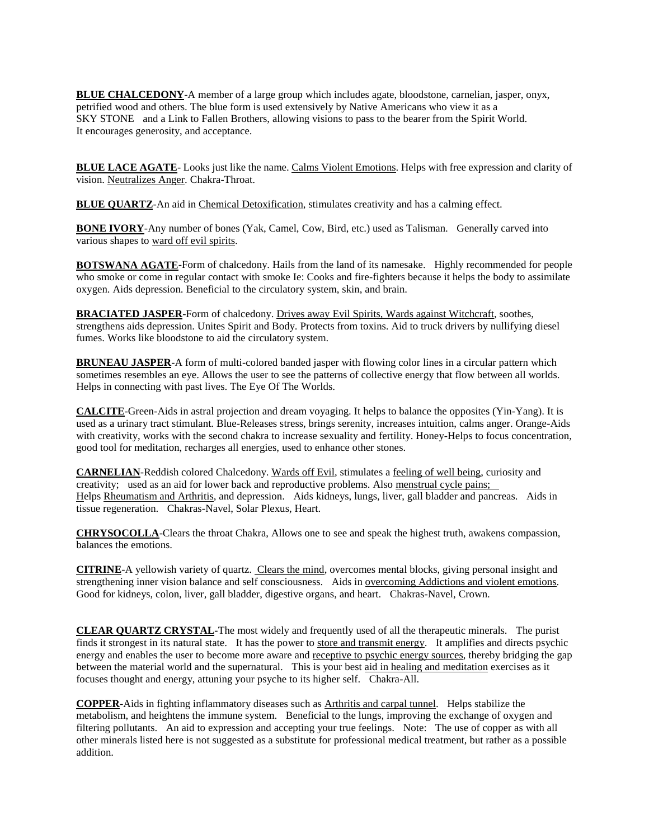**BLUE CHALCEDONY** -A member of a large group which includes agate, bloodstone, carnelian, jasper, onyx, SKY STONE and a Link to Fallen Brothers, allowing visions to pass to the bearer from the Spirit World. petrified wood and others. The blue form is used extensively by Native Americans who view it as a It encourages generosity, and acceptance.

**BLUE LACE AGATE**- Looks just like the name. Calms Violent Emotions. Helps with free expression and clarity of vision. Neutralizes Anger. Chakra-Throat.

**BLUE QUARTZ-**An aid in Chemical Detoxification, stimulates creativity and has a calming effect.

**BONE IVORY**-Any number of bones (Yak, Camel, Cow, Bird, etc.) used as Talisman. Generally carved into various shapes to ward off evil spirits.

**BOTSWANA AGATE**-Form of chalcedony. Hails from the land of its namesake. Highly recommended for people who smoke or come in regular contact with smoke Ie: Cooks and fire-fighters because it helps the body to assimilate oxygen. Aids depression. Beneficial to the circulatory system, skin, and brain.

**BRACIATED JASPER**-Form of chalcedony. Drives away Evil Spirits, Wards against Witchcraft, soothes, strengthens aids depression. Unites Spirit and Body. Protects from toxins. Aid to truck drivers by nullifying diesel fumes. Works like bloodstone to aid the circulatory system.

**BRUNEAU JASPER**-A form of multi-colored banded jasper with flowing color lines in a circular pattern which sometimes resembles an eye. Allows the user to see the patterns of collective energy that flow between all worlds. Helps in connecting with past lives. The Eye Of The Worlds.

**CALCITE**-Green-Aids in astral projection and dream voyaging. It helps to balance the opposites (Yin-Yang). It is used as a urinary tract stimulant. Blue-Releases stress, brings serenity, increases intuition, calms anger. Orange-Aids with creativity, works with the second chakra to increase sexuality and fertility. Honey-Helps to focus concentration, good tool for meditation, recharges all energies, used to enhance other stones.

**CARNELIAN**-Reddish colored Chalcedony. Wards off Evil, stimulates a feeling of well being, curiosity and creativity; used as an aid for lower back and reproductive problems. Also menstrual cycle pains; Helps Rheumatism and Arthritis, and depression. Aids kidneys, lungs, liver, gall bladder and pancreas. Aids in tissue regeneration. Chakras-Navel, Solar Plexus, Heart.

**CHRYSOCOLLA**-Clears the throat Chakra, Allows one to see and speak the highest truth, awakens compassion, balances the emotions.

**CITRINE**-A yellowish variety of quartz. Clears the mind, overcomes mental blocks, giving personal insight and strengthening inner vision balance and self consciousness. Aids in overcoming Addictions and violent emotions. Good for kidneys, colon, liver, gall bladder, digestive organs, and heart. Chakras-Navel, Crown.

**CLEAR QUARTZ CRYSTAL-**The most widely and frequently used of all the therapeutic minerals. The purist finds it strongest in its natural state. It has the power to store and transmit energy. It amplifies and directs psychic energy and enables the user to become more aware and receptive to psychic energy sources, thereby bridging the gap between the material world and the supernatural. This is your best aid in healing and meditation exercises as it focuses thought and energy, attuning your psyche to its higher self. Chakra-All.

**COPPER**-Aids in fighting inflammatory diseases such as Arthritis and carpal tunnel. Helps stabilize the metabolism, and heightens the immune system. Beneficial to the lungs, improving the exchange of oxygen and filtering pollutants. An aid to expression and accepting your true feelings. Note: The use of copper as with all other minerals listed here is not suggested as a substitute for professional medical treatment, but rather as a possible addition.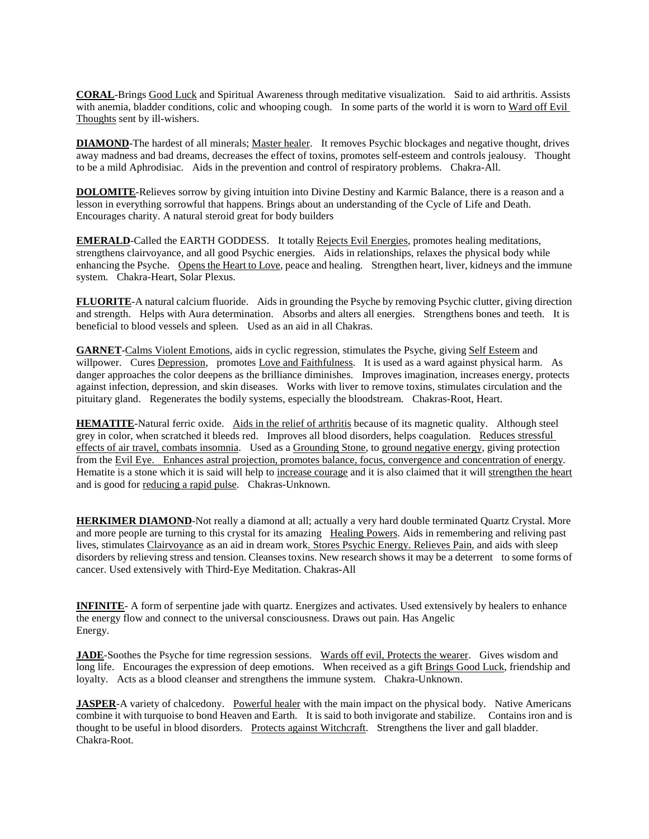**CORAL**-Brings Good Luck and Spiritual Awareness through meditative visualization. Said to aid arthritis. Assists with anemia, bladder conditions, colic and whooping cough. In some parts of the world it is worn to Ward off Evil Thoughts sent by ill-wishers.

**DIAMOND**-The hardest of all minerals; Master healer. It removes Psychic blockages and negative thought, drives away madness and bad dreams, decreases the effect of toxins, promotes self-esteem and controls jealousy. Thought to be a mild Aphrodisiac. Aids in the prevention and control of respiratory problems. Chakra-All.

**DOLOMITE**-Relieves sorrow by giving intuition into Divine Destiny and Karmic Balance, there is a reason and a lesson in everything sorrowful that happens. Brings about an understanding of the Cycle of Life and Death. Encourages charity. A natural steroid great for body builders

**EMERALD**-Called the EARTH GODDESS. It totally Rejects Evil Energies, promotes healing meditations, strengthens clairvoyance, and all good Psychic energies. Aids in relationships, relaxes the physical body while enhancing the Psyche. Opens the Heart to Love, peace and healing. Strengthen heart, liver, kidneys and the immune system. Chakra-Heart, Solar Plexus.

**FLUORITE-A** natural calcium fluoride. Aids in grounding the Psyche by removing Psychic clutter, giving direction and strength. Helps with Aura determination. Absorbs and alters all energies. Strengthens bones and teeth. It is beneficial to blood vessels and spleen. Used as an aid in all Chakras.

**GARNET**-Calms Violent Emotions, aids in cyclic regression, stimulates the Psyche, giving Self Esteem and willpower. Cures Depression, promotes Love and Faithfulness. It is used as a ward against physical harm. As danger approaches the color deepens as the brilliance diminishes. Improves imagination, increases energy, protects against infection, depression, and skin diseases. Works with liver to remove toxins, stimulates circulation and the pituitary gland. Regenerates the bodily systems, especially the bloodstream. Chakras-Root, Heart.

**HEMATITE**-Natural ferric oxide. Aids in the relief of arthritis because of its magnetic quality. Although steel grey in color, when scratched it bleeds red. Improves all blood disorders, helps coagulation. Reduces stressful effects of air travel, combats insomnia. Used as a Grounding Stone, to ground negative energy, giving protection from the Evil Eye. Enhances astral projection, promotes balance, focus, convergence and concentration of energy. Hematite is a stone which it is said will help to increase courage and it is also claimed that it will strengthen the heart and is good for reducing a rapid pulse. Chakras-Unknown.

**HERKIMER DIAMOND-Not really a diamond at all; actually a very hard double terminated Quartz Crystal. More** and more people are turning to this crystal for its amazing Healing Powers. Aids in remembering and reliving past lives, stimulates Clairvoyance as an aid in dream work. Stores Psychic Energy. Relieves Pain, and aids with sleep disorders by relieving stress and tension. Cleanses toxins. New research shows it may be a deterrent to some forms of cancer. Used extensively with Third-Eye Meditation. Chakras-All

**INFINITE**- A form of serpentine jade with quartz. Energizes and activates. Used extensively by healers to enhance the energy flow and connect to the universal consciousness. Draws out pain. Has Angelic Energy.

**JADE**-Soothes the Psyche for time regression sessions. Wards off evil, Protects the wearer. Gives wisdom and long life. Encourages the expression of deep emotions. When received as a gift Brings Good Luck, friendship and loyalty. Acts as a blood cleanser and strengthens the immune system. Chakra-Unknown.

**JASPER**-A variety of chalcedony. Powerful healer with the main impact on the physical body. Native Americans combine it with turquoise to bond Heaven and Earth. It is said to both invigorate and stabilize. Contains iron and is thought to be useful in blood disorders. Protects against Witchcraft. Strengthens the liver and gall bladder. Chakra-Root.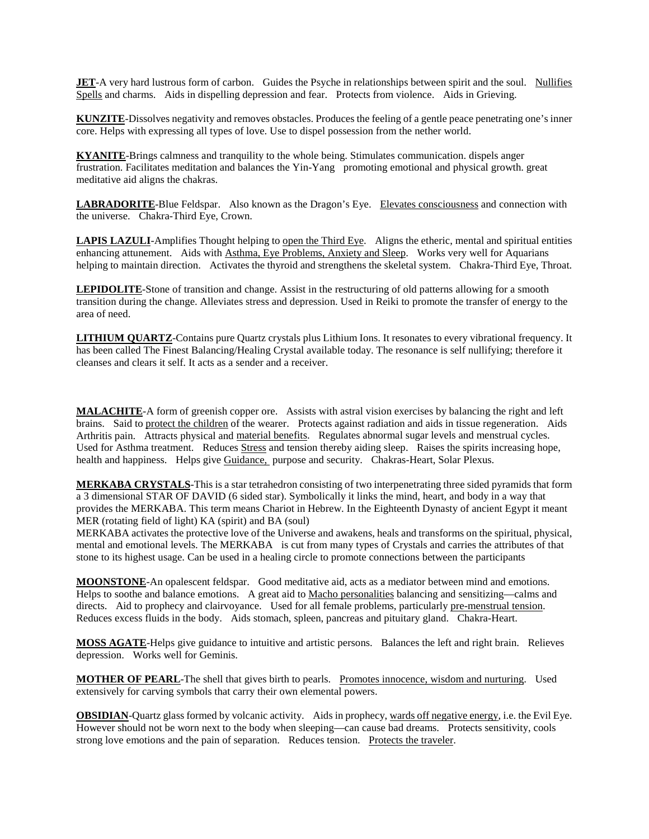**JET**-A very hard lustrous form of carbon. Guides the Psyche in relationships between spirit and the soul. Nullifies Spells and charms. Aids in dispelling depression and fear. Protects from violence. Aids in Grieving.

**KUNZITE**-Dissolves negativity and removes obstacles. Produces the feeling of a gentle peace penetrating one's inner core. Helps with expressing all types of love. Use to dispel possession from the nether world.

**KYANITE**-Brings calmness and tranquility to the whole being. Stimulates communication. dispels anger frustration. Facilitates meditation and balances the Yin-Yang promoting emotional and physical growth. great meditative aid aligns the chakras.

**LABRADORITE**-Blue Feldspar. Also known as the Dragon's Eye. Elevates consciousness and connection with the universe. Chakra-Third Eye, Crown.

**LAPIS LAZULI**-Amplifies Thought helping to <u>open the Third Eye</u>. Aligns the etheric, mental and spiritual entities enhancing attunement. Aids with Asthma, Eye Problems, Anxiety and Sleep. Works very well for Aquarians helping to maintain direction. Activates the thyroid and strengthens the skeletal system. Chakra-Third Eye, Throat.

**LEPIDOLITE**-Stone of transition and change. Assist in the restructuring of old patterns allowing for a smooth transition during the change. Alleviates stress and depression. Used in Reiki to promote the transfer of energy to the area of need.

**LITHIUM QUARTZ**-Contains pure Quartz crystals plus Lithium Ions. It resonates to every vibrational frequency. It has been called The Finest Balancing/Healing Crystal available today. The resonance is self nullifying; therefore it cleanses and clears it self. It acts as a sender and a receiver.

**MALACHITE**-A form of greenish copper ore. Assists with astral vision exercises by balancing the right and left brains. Said to protect the children of the wearer. Protects against radiation and aids in tissue regeneration. Aids Arthritis pain. Attracts physical and material benefits. Regulates abnormal sugar levels and menstrual cycles. Used for Asthma treatment. Reduces Stress and tension thereby aiding sleep. Raises the spirits increasing hope, health and happiness. Helps give Guidance, purpose and security. Chakras-Heart, Solar Plexus.

**MERKABA CRYSTALS** -This is a star tetrahedron consisting of two interpenetrating three sided pyramids that form a 3 dimensional STAR OF DAVID (6 sided star). Symbolically it links the mind, heart, and body in a way that provides the MERKABA. This term means Chariot in Hebrew. In the Eighteenth Dynasty of ancient Egypt it meant MER (rotating field of light) KA (spirit) and BA (soul)

MERKABA activates the protective love of the Universe and awakens, heals and transforms on the spiritual, physical, mental and emotional levels. The MERKABA is cut from many types of Crystals and carries the attributes of that stone to its highest usage. Can be used in a healing circle to promote connections between the participants

**MOONSTONE**-An opalescent feldspar. Good meditative aid, acts as a mediator between mind and emotions. Helps to soothe and balance emotions. A great aid to Macho personalities balancing and sensitizing—calms and directs. Aid to prophecy and clairvoyance. Used for all female problems, particularly pre-menstrual tension. Reduces excess fluids in the body. Aids stomach, spleen, pancreas and pituitary gland. Chakra-Heart.

**MOSS AGATE**-Helps give guidance to intuitive and artistic persons. Balances the left and right brain. Relieves depression. Works well for Geminis.

**MOTHER OF PEARL**-The shell that gives birth to pearls. Promotes innocence, wisdom and nurturing. Used extensively for carving symbols that carry their own elemental powers.

**OBSIDIAN**-Quartz glass formed by volcanic activity. Aids in prophecy, wards off negative energy, i.e. the Evil Eye. However should not be worn next to the body when sleeping—can cause bad dreams. Protects sensitivity, cools strong love emotions and the pain of separation. Reduces tension. Protects the traveler.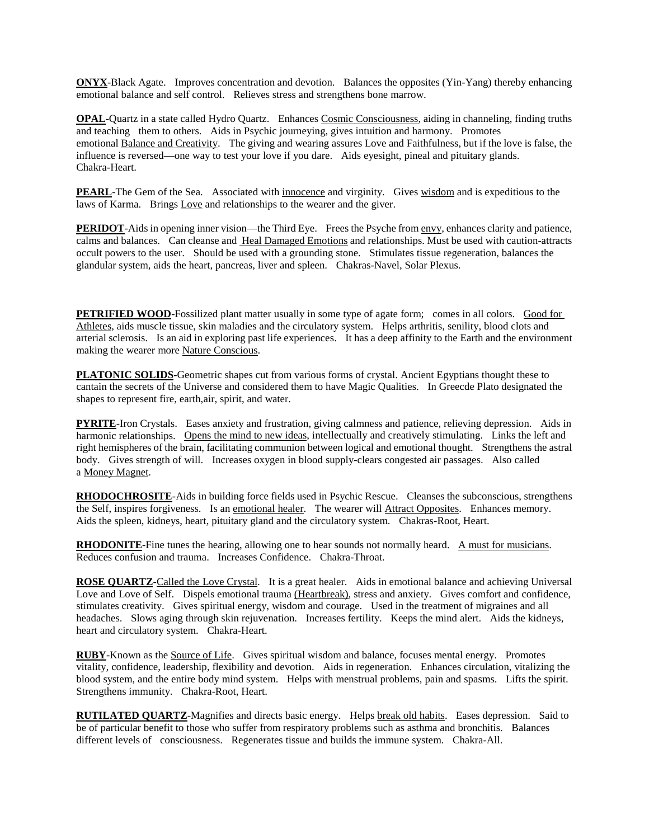**ONYX**-Black Agate. Improves concentration and devotion. Balances the opposites (Yin-Yang) thereby enhancing emotional balance and self control. Relieves stress and strengthens bone marrow.

**OPAL-Quartz in a state called Hydro Quartz.** Enhances Cosmic Consciousness, aiding in channeling, finding truths and teaching them to others. Aids in Psychic journeying, gives intuition and harmony. Promotes emotional Balance and Creativity. The giving and wearing assures Love and Faithfulness, but if the love is false, the influence is reversed—one way to test your love if you dare. Aids eyesight, pineal and pituitary glands. Chakra-Heart.

**PEARL**-The Gem of the Sea. Associated with innocence and virginity. Gives wisdom and is expeditious to the laws of Karma. Brings Love and relationships to the wearer and the giver.

**PERIDOT**-Aids in opening inner vision—the Third Eye. Frees the Psyche from envy, enhances clarity and patience, calms and balances. Can cleanse and Heal Damaged Emotions and relationships. Must be used with caution-attracts occult powers to the user. Should be used with a grounding stone. Stimulates tissue regeneration, balances the glandular system, aids the heart, pancreas, liver and spleen. Chakras-Navel, Solar Plexus.

**PETRIFIED WOOD-Fossilized plant matter usually in some type of agate form; comes in all colors. Good for** Athletes, aids muscle tissue, skin maladies and the circulatory system. Helps arthritis, senility, blood clots and arterial sclerosis. Is an aid in exploring past life experiences. It has a deep affinity to the Earth and the environment making the wearer more Nature Conscious.

**PLATONIC SOLIDS**-Geometric shapes cut from various forms of crystal. Ancient Egyptians thought these to cantain the secrets of the Universe and considered them to have Magic Qualities. In Greecde Plato designated the shapes to represent fire, earth,air, spirit, and water.

**PYRITE**-Iron Crystals. Eases anxiety and frustration, giving calmness and patience, relieving depression. Aids in harmonic relationships. Opens the mind to new ideas, intellectually and creatively stimulating. Links the left and right hemispheres of the brain, facilitating communion between logical and emotional thought. Strengthens the astral body. Gives strength of will. Increases oxygen in blood supply-clears congested air passages. Also called a Money Magnet.

**RHODOCHROSITE**-Aids in building force fields used in Psychic Rescue. Cleanses the subconscious, strengthens the Self, inspires forgiveness. Is an emotional healer. The wearer will Attract Opposites. Enhances memory. Aids the spleen, kidneys, heart, pituitary gland and the circulatory system. Chakras-Root, Heart.

**RHODONITE**-Fine tunes the hearing, allowing one to hear sounds not normally heard. A must for musicians. Reduces confusion and trauma. Increases Confidence. Chakra-Throat.

**ROSE QUARTZ**-Called the Love Crystal. It is a great healer. Aids in emotional balance and achieving Universal Love and Love of Self. Dispels emotional trauma (Heartbreak), stress and anxiety. Gives comfort and confidence, stimulates creativity. Gives spiritual energy, wisdom and courage. Used in the treatment of migraines and all headaches. Slows aging through skin rejuvenation. Increases fertility. Keeps the mind alert. Aids the kidneys, heart and circulatory system. Chakra-Heart.

**RUBY**-Known as the Source of Life. Gives spiritual wisdom and balance, focuses mental energy. Promotes vitality, confidence, leadership, flexibility and devotion. Aids in regeneration. Enhances circulation, vitalizing the blood system, and the entire body mind system. Helps with menstrual problems, pain and spasms. Lifts the spirit. Strengthens immunity. Chakra-Root, Heart.

**RUTILATED QUARTZ**-Magnifies and directs basic energy. Helps break old habits. Eases depression. Said to be of particular benefit to those who suffer from respiratory problems such as asthma and bronchitis. Balances different levels of consciousness. Regenerates tissue and builds the immune system. Chakra-All.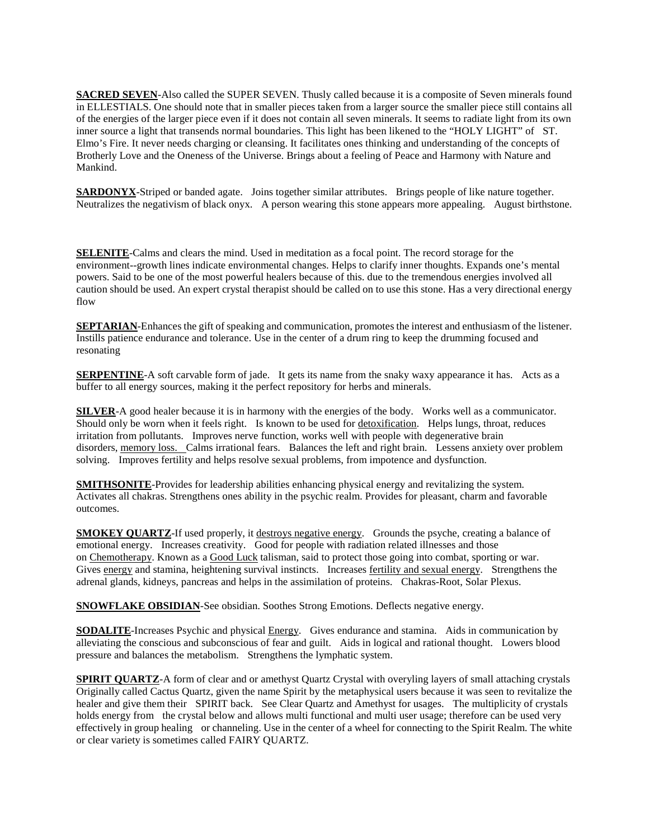**SACRED SEVEN-Also called the SUPER SEVEN. Thusly called because it is a composite of Seven minerals found** in ELLESTIALS. One should note that in smaller pieces taken from a larger source the smaller piece still contains all of the energies of the larger piece even if it does not contain all seven minerals. It seems to radiate light from its own inner source a light that transends normal boundaries. This light has been likened to the "HOLY LIGHT" of ST. Elmo's Fire. It never needs charging or cleansing. It facilitates ones thinking and understanding of the concepts of Brotherly Love and the Oneness of the Universe. Brings about a feeling of Peace and Harmony with Nature and Mankind.

**SARDONYX**-Striped or banded agate. Joins together similar attributes. Brings people of like nature together. Neutralizes the negativism of black onyx. A person wearing this stone appears more appealing. August birthstone.

**SELENITE**-Calms and clears the mind. Used in meditation as a focal point. The record storage for the environment--growth lines indicate environmental changes. Helps to clarify inner thoughts. Expands one's mental powers. Said to be one of the most powerful healers because of this. due to the tremendous energies involved all caution should be used. An expert crystal therapist should be called on to use this stone. Has a very directional energy flow

**SEPTARIAN**-Enhances the gift of speaking and communication, promotes the interest and enthusiasm of the listener. Instills patience endurance and tolerance. Use in the center of a drum ring to keep the drumming focused and resonating

**SERPENTINE-A** soft carvable form of jade. It gets its name from the snaky waxy appearance it has. Acts as a buffer to all energy sources, making it the perfect repository for herbs and minerals.

**SILVER**-A good healer because it is in harmony with the energies of the body. Works well as a communicator. Should only be worn when it feels right. Is known to be used for detoxification. Helps lungs, throat, reduces irritation from pollutants. Improves nerve function, works well with people with degenerative brain disorders, memory loss. Calms irrational fears. Balances the left and right brain. Lessens anxiety over problem solving. Improves fertility and helps resolve sexual problems, from impotence and dysfunction.

**SMITHSONITE** -Provides for leadership abilities enhancing physical energy and revitalizing the system. Activates all chakras. Strengthens ones ability in the psychic realm. Provides for pleasant, charm and favorable outcomes.

**SMOKEY QUARTZ**-If used properly, it destroys negative energy. Grounds the psyche, creating a balance of emotional energy. Increases creativity. Good for people with radiation related illnesses and those on Chemotherapy. Known as a Good Luck talisman, said to protect those going into combat, sporting or war. Gives energy and stamina, heightening survival instincts. Increases fertility and sexual energy. Strengthens the adrenal glands, kidneys, pancreas and helps in the assimilation of proteins. Chakras-Root, Solar Plexus.

**SNOWFLAKE OBSIDIAN**-See obsidian. Soothes Strong Emotions. Deflects negative energy.

**SODALITE**-Increases Psychic and physical Energy. Gives endurance and stamina. Aids in communication by alleviating the conscious and subconscious of fear and guilt. Aids in logical and rational thought. Lowers blood pressure and balances the metabolism. Strengthens the lymphatic system.

**SPIRIT QUARTZ-A** form of clear and or amethyst Quartz Crystal with overyling layers of small attaching crystals Originally called Cactus Quartz, given the name Spirit by the metaphysical users because it was seen to revitalize the healer and give them their SPIRIT back. See Clear Quartz and Amethyst for usages. The multiplicity of crystals holds energy from the crystal below and allows multi functional and multi user usage; therefore can be used very effectively in group healing or channeling. Use in the center of a wheel for connecting to the Spirit Realm. The white or clear variety is sometimes called FAIRY QUARTZ.